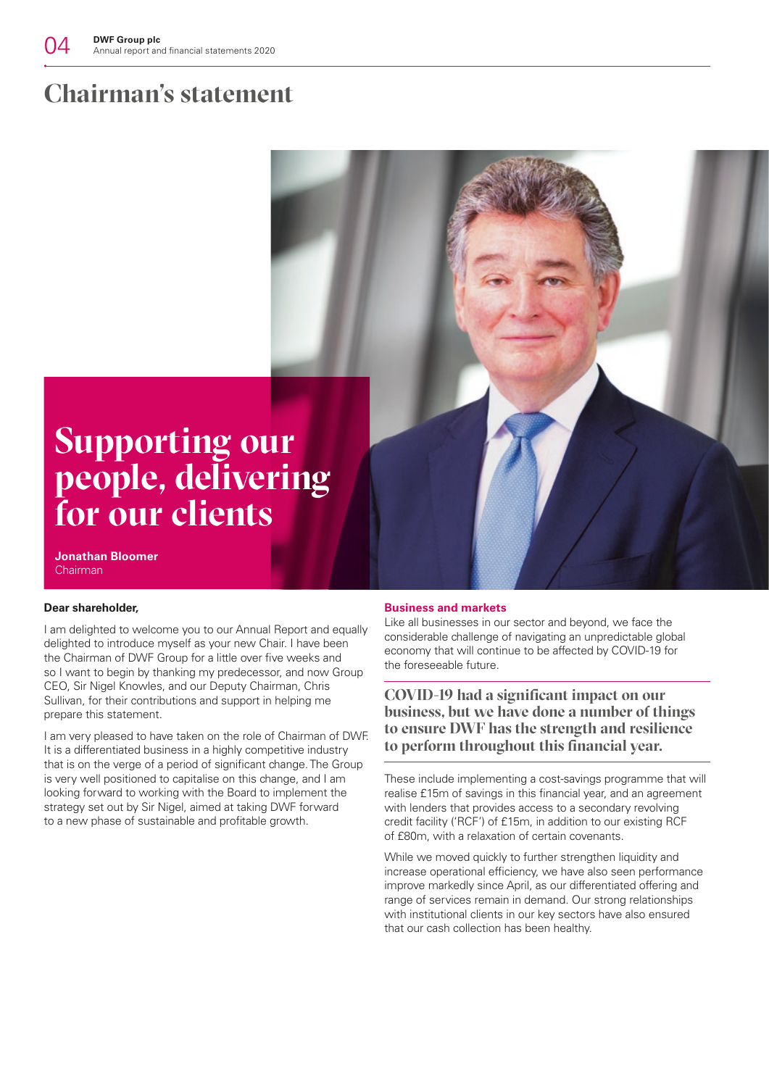## **Chairman's statement**

# **Supporting our people, delivering for our clients**

**Jonathan Bloomer** Chairman

#### **Dear shareholder,**

I am delighted to welcome you to our Annual Report and equally delighted to introduce myself as your new Chair. I have been the Chairman of DWF Group for a little over five weeks and so I want to begin by thanking my predecessor, and now Group CEO, Sir Nigel Knowles, and our Deputy Chairman, Chris Sullivan, for their contributions and support in helping me prepare this statement.

I am very pleased to have taken on the role of Chairman of DWF. It is a differentiated business in a highly competitive industry that is on the verge of a period of significant change. The Group is very well positioned to capitalise on this change, and I am looking forward to working with the Board to implement the strategy set out by Sir Nigel, aimed at taking DWF forward to a new phase of sustainable and profitable growth.

#### **Business and markets**

Like all businesses in our sector and beyond, we face the considerable challenge of navigating an unpredictable global economy that will continue to be affected by COVID-19 for the foreseeable future.

**COVID-19 had a significant impact on our business, but we have done a number of things to ensure DWF has the strength and resilience to perform throughout this financial year.**

These include implementing a cost-savings programme that will realise £15m of savings in this financial year, and an agreement with lenders that provides access to a secondary revolving credit facility ('RCF') of £15m, in addition to our existing RCF of £80m, with a relaxation of certain covenants.

While we moved quickly to further strengthen liquidity and increase operational efficiency, we have also seen performance improve markedly since April, as our differentiated offering and range of services remain in demand. Our strong relationships with institutional clients in our key sectors have also ensured that our cash collection has been healthy.